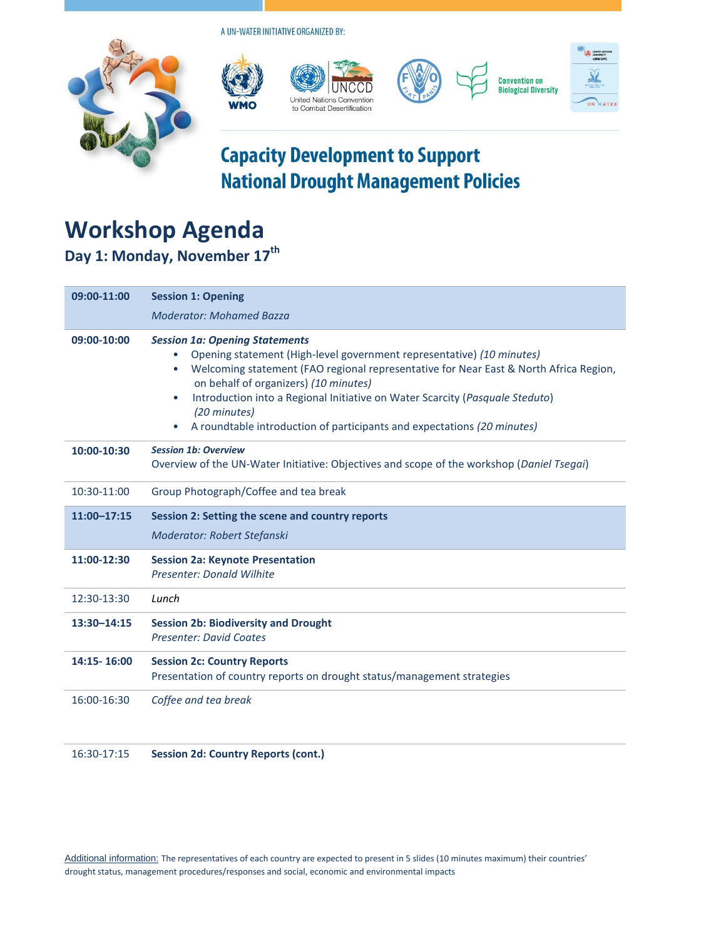A UN-WATER INITIATIVE ORGANIZED BY:



United Nations Convention to Combat Desertification







### **Capacity Development to Support National Drought Management Policies**

# **Workshop Agenda**

**Day 1: Monday, November 17th**

| 09:00-11:00 | <b>Session 1: Opening</b>                                                                                                                                                                                                                                                                                                                                                                                                                             |
|-------------|-------------------------------------------------------------------------------------------------------------------------------------------------------------------------------------------------------------------------------------------------------------------------------------------------------------------------------------------------------------------------------------------------------------------------------------------------------|
|             | <b>Moderator: Mohamed Bazza</b>                                                                                                                                                                                                                                                                                                                                                                                                                       |
| 09:00-10:00 | <b>Session 1a: Opening Statements</b><br>Opening statement (High-level government representative) (10 minutes)<br>Welcoming statement (FAO regional representative for Near East & North Africa Region,<br>$\bullet$<br>on behalf of organizers) (10 minutes)<br>Introduction into a Regional Initiative on Water Scarcity (Pasquale Steduto)<br>$\bullet$<br>(20 minutes)<br>A roundtable introduction of participants and expectations (20 minutes) |
| 10:00-10:30 | <b>Session 1b: Overview</b><br>Overview of the UN-Water Initiative: Objectives and scope of the workshop (Daniel Tsegai)                                                                                                                                                                                                                                                                                                                              |
| 10:30-11:00 | Group Photograph/Coffee and tea break                                                                                                                                                                                                                                                                                                                                                                                                                 |
| 11:00-17:15 | Session 2: Setting the scene and country reports                                                                                                                                                                                                                                                                                                                                                                                                      |
|             | Moderator: Robert Stefanski                                                                                                                                                                                                                                                                                                                                                                                                                           |
| 11:00-12:30 | <b>Session 2a: Keynote Presentation</b><br>Presenter: Donald Wilhite                                                                                                                                                                                                                                                                                                                                                                                  |
| 12:30-13:30 | Lunch                                                                                                                                                                                                                                                                                                                                                                                                                                                 |
| 13:30-14:15 | <b>Session 2b: Biodiversity and Drought</b><br><b>Presenter: David Coates</b>                                                                                                                                                                                                                                                                                                                                                                         |
| 14:15-16:00 | <b>Session 2c: Country Reports</b><br>Presentation of country reports on drought status/management strategies                                                                                                                                                                                                                                                                                                                                         |
| 16:00-16:30 | Coffee and tea break                                                                                                                                                                                                                                                                                                                                                                                                                                  |

16:30-17:15 **Session 2d: Country Reports (cont.)**

Additional information: The representatives of each country are expected to present in 5 slides (10 minutes maximum) their countries' drought status, management procedures/responses and social, economic and environmental impacts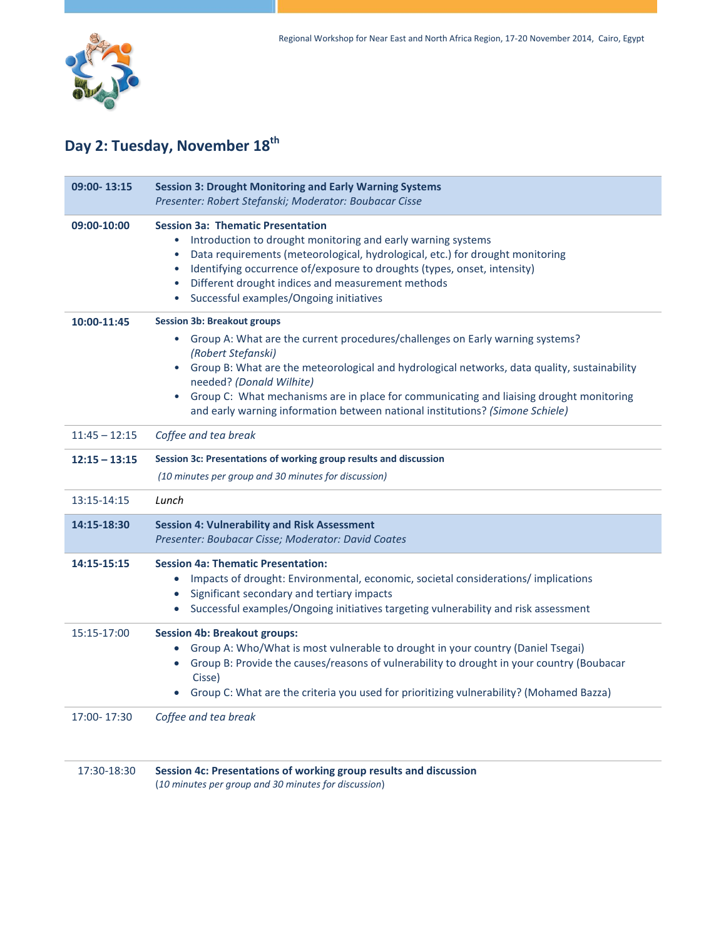

### **Day 2: Tuesday, November 18th**

| 09:00-13:15     | <b>Session 3: Drought Monitoring and Early Warning Systems</b><br>Presenter: Robert Stefanski; Moderator: Boubacar Cisse                                                                                                                                                                                                                                                                                                                                                                 |  |
|-----------------|------------------------------------------------------------------------------------------------------------------------------------------------------------------------------------------------------------------------------------------------------------------------------------------------------------------------------------------------------------------------------------------------------------------------------------------------------------------------------------------|--|
| 09:00-10:00     | <b>Session 3a: Thematic Presentation</b><br>Introduction to drought monitoring and early warning systems<br>$\bullet$<br>Data requirements (meteorological, hydrological, etc.) for drought monitoring<br>$\bullet$<br>Identifying occurrence of/exposure to droughts (types, onset, intensity)<br>٠<br>Different drought indices and measurement methods<br>٠<br>Successful examples/Ongoing initiatives<br>٠                                                                           |  |
| 10:00-11:45     | <b>Session 3b: Breakout groups</b><br>Group A: What are the current procedures/challenges on Early warning systems?<br>$\bullet$<br>(Robert Stefanski)<br>Group B: What are the meteorological and hydrological networks, data quality, sustainability<br>$\bullet$<br>needed? (Donald Wilhite)<br>Group C: What mechanisms are in place for communicating and liaising drought monitoring<br>$\bullet$<br>and early warning information between national institutions? (Simone Schiele) |  |
| $11:45 - 12:15$ | Coffee and tea break                                                                                                                                                                                                                                                                                                                                                                                                                                                                     |  |
| $12:15 - 13:15$ | Session 3c: Presentations of working group results and discussion<br>(10 minutes per group and 30 minutes for discussion)                                                                                                                                                                                                                                                                                                                                                                |  |
| 13:15-14:15     | Lunch                                                                                                                                                                                                                                                                                                                                                                                                                                                                                    |  |
| 14:15-18:30     | <b>Session 4: Vulnerability and Risk Assessment</b><br>Presenter: Boubacar Cisse; Moderator: David Coates                                                                                                                                                                                                                                                                                                                                                                                |  |
| 14:15-15:15     | <b>Session 4a: Thematic Presentation:</b><br>Impacts of drought: Environmental, economic, societal considerations/implications<br>$\bullet$<br>Significant secondary and tertiary impacts<br>$\bullet$<br>Successful examples/Ongoing initiatives targeting vulnerability and risk assessment<br>$\bullet$                                                                                                                                                                               |  |
| 15:15-17:00     | <b>Session 4b: Breakout groups:</b><br>Group A: Who/What is most vulnerable to drought in your country (Daniel Tsegai)<br>$\bullet$<br>Group B: Provide the causes/reasons of vulnerability to drought in your country (Boubacar<br>$\bullet$<br>Cisse)<br>Group C: What are the criteria you used for prioritizing vulnerability? (Mohamed Bazza)                                                                                                                                       |  |
| 17:00-17:30     | Coffee and tea break                                                                                                                                                                                                                                                                                                                                                                                                                                                                     |  |
| 17:30-18:30     | Session 4c: Presentations of working group results and discussion                                                                                                                                                                                                                                                                                                                                                                                                                        |  |

(*10 minutes per group and 30 minutes for discussion*)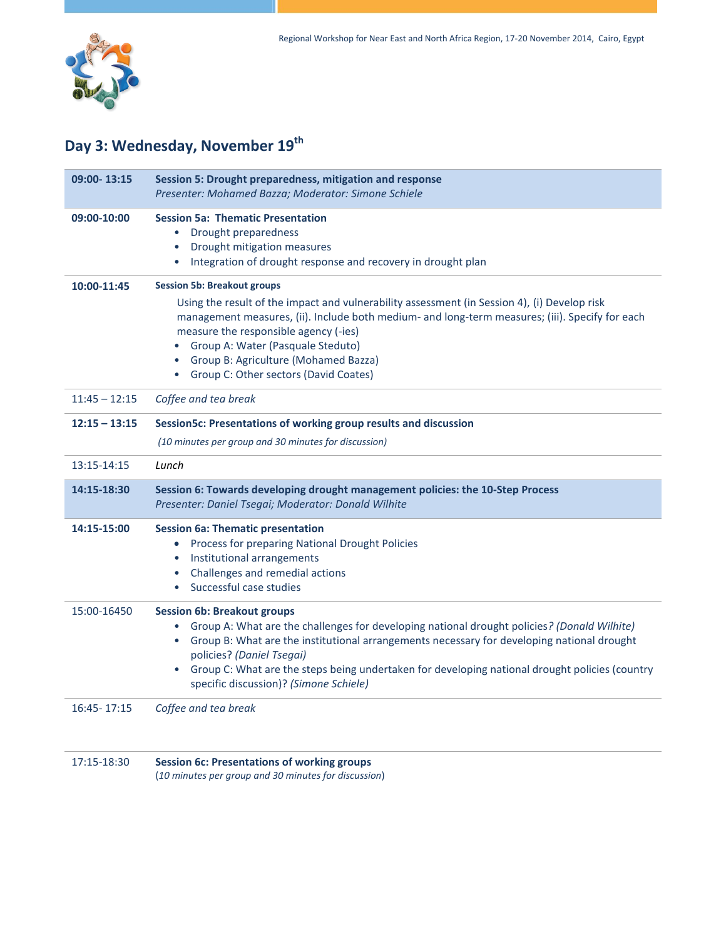

#### **Day 3: Wednesday, November 19 th**

| 09:00-13:15     | Session 5: Drought preparedness, mitigation and response<br>Presenter: Mohamed Bazza; Moderator: Simone Schiele                                                                                                                                                                                                                                                                                                         |
|-----------------|-------------------------------------------------------------------------------------------------------------------------------------------------------------------------------------------------------------------------------------------------------------------------------------------------------------------------------------------------------------------------------------------------------------------------|
| 09:00-10:00     | <b>Session 5a: Thematic Presentation</b><br>Drought preparedness<br>$\bullet$<br>Drought mitigation measures<br>$\bullet$<br>Integration of drought response and recovery in drought plan<br>$\bullet$                                                                                                                                                                                                                  |
| 10:00-11:45     | <b>Session 5b: Breakout groups</b><br>Using the result of the impact and vulnerability assessment (in Session 4), (i) Develop risk<br>management measures, (ii). Include both medium- and long-term measures; (iii). Specify for each<br>measure the responsible agency (-ies)<br>Group A: Water (Pasquale Steduto)<br>$\bullet$<br>Group B: Agriculture (Mohamed Bazza)<br>Group C: Other sectors (David Coates)       |
| $11:45 - 12:15$ | Coffee and tea break                                                                                                                                                                                                                                                                                                                                                                                                    |
| $12:15 - 13:15$ | Session5c: Presentations of working group results and discussion<br>(10 minutes per group and 30 minutes for discussion)                                                                                                                                                                                                                                                                                                |
| 13:15-14:15     | Lunch                                                                                                                                                                                                                                                                                                                                                                                                                   |
| 14:15-18:30     | Session 6: Towards developing drought management policies: the 10-Step Process<br>Presenter: Daniel Tsegai; Moderator: Donald Wilhite                                                                                                                                                                                                                                                                                   |
| 14:15-15:00     | <b>Session 6a: Thematic presentation</b><br>Process for preparing National Drought Policies<br>$\bullet$<br>Institutional arrangements<br>Challenges and remedial actions<br>Successful case studies                                                                                                                                                                                                                    |
| 15:00-16450     | <b>Session 6b: Breakout groups</b><br>Group A: What are the challenges for developing national drought policies? (Donald Wilhite)<br>• Group B: What are the institutional arrangements necessary for developing national drought<br>policies? (Daniel Tsegai)<br>Group C: What are the steps being undertaken for developing national drought policies (country<br>$\bullet$<br>specific discussion)? (Simone Schiele) |
| 16:45 - 17:15   | Coffee and tea break                                                                                                                                                                                                                                                                                                                                                                                                    |

| 17:15-18:30 | <b>Session 6c: Presentations of working groups</b>   |
|-------------|------------------------------------------------------|
|             | (10 minutes per group and 30 minutes for discussion) |